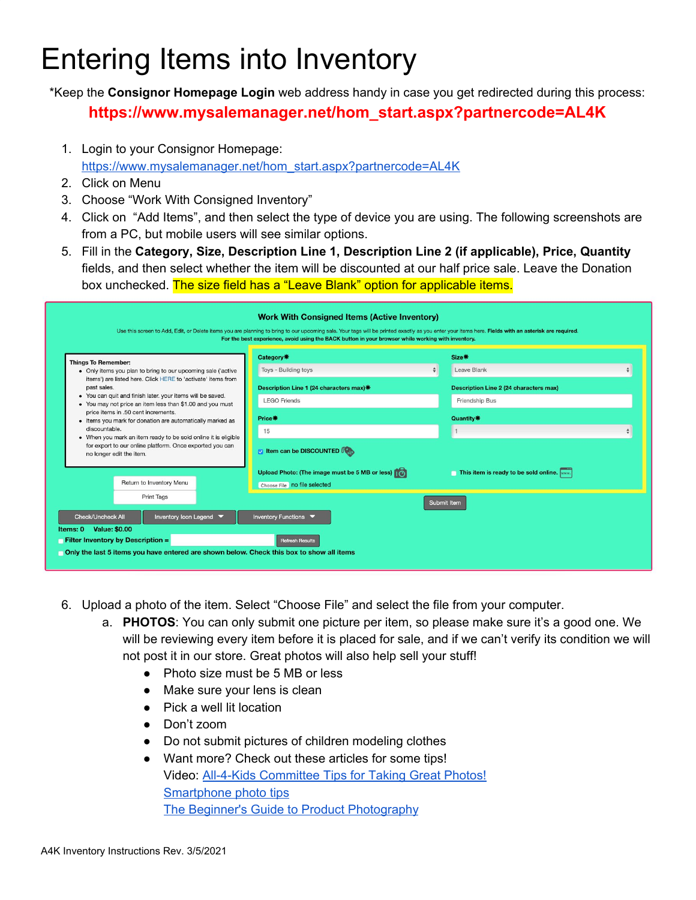## Entering Items into Inventory

\*Keep the **Consignor Homepage Login** web address handy in case you get redirected during this process: **https://www.mysalemanager.net/hom\_start.aspx?partnercode=AL4K**

- 1. Login to your Consignor Homepage: [https://www.mysalemanager.net/hom\\_start.aspx?partnercode=AL4K](https://www.mysalemanager.net/hom_start.aspx?partnercode=AL4K)
- 2. Click on Menu
- 3. Choose "Work With Consigned Inventory"
- 4. Click on "Add Items", and then select the type of device you are using. The following screenshots are from a PC, but mobile users will see similar options.
- 5. Fill in the **Category, Size, Description Line 1, Description Line 2 (if applicable), Price, Quantity** fields, and then select whether the item will be discounted at our half price sale. Leave the Donation box unchecked. The size field has a "Leave Blank" option for applicable items.

| <b>Things To Remember:</b>                                                                                                   | Category*                                      | Size*                                         |  |  |  |  |
|------------------------------------------------------------------------------------------------------------------------------|------------------------------------------------|-----------------------------------------------|--|--|--|--|
| . Only items you plan to bring to our upcoming sale ('active<br>items') are listed here. Click HERE to 'activate' items from | Toys - Building toys                           | Leave Blank                                   |  |  |  |  |
| past sales.                                                                                                                  | Description Line 1 (24 characters max) *       | <b>Description Line 2 (24 characters max)</b> |  |  |  |  |
| • You can quit and finish later. your items will be saved.<br>• You may not price an item less than \$1.00 and you must      | <b>LEGO Friends</b>                            | Friendship Bus                                |  |  |  |  |
| price items in .50 cent increments.<br>• Items you mark for donation are automatically marked as                             | Price*                                         | Quantity*                                     |  |  |  |  |
| discountable.<br>. When you mark an item ready to be sold online it is eligible                                              | 15                                             |                                               |  |  |  |  |
| for export to our online platform. Once exported you can<br>no longer edit the item.                                         | tem can be DISCOUNTED                          |                                               |  |  |  |  |
|                                                                                                                              | Upload Photo: (The image must be 5 MB or less) | This item is ready to be sold online.         |  |  |  |  |
| Return to Inventory Menu                                                                                                     | Choose File no file selected                   |                                               |  |  |  |  |
| Print Tags                                                                                                                   |                                                | Submit Item                                   |  |  |  |  |
| <b>Check/Uncheck All</b><br>Inventory Icon Legend ▼                                                                          | Inventory Functions                            |                                               |  |  |  |  |

- 6. Upload a photo of the item. Select "Choose File" and select the file from your computer.
	- a. **PHOTOS**: You can only submit one picture per item, so please make sure it's a good one. We will be reviewing every item before it is placed for sale, and if we can't verify its condition we will not post it in our store. Great photos will also help sell your stuff!
		- Photo size must be 5 MB or less
		- Make sure your lens is clean
		- Pick a well lit location
		- Don't zoom
		- Do not submit pictures of children modeling clothes
		- Want more? Check out these articles for some tips! Video: All-4-Kids [Committee](https://www.llall4kids.com/copy-of-faqs?wix-vod-video-id=5b09cfcf41b14e828a32fabeb1eb0d25&wix-vod-comp-id=comp-klo344ks) Tips for Taking Great Photos! [Smartphone](https://www.volusion.com/blog/how-to-create-high-quality-product-photos-with-your-smartphone/) photo tips The Beginner's Guide to Product [Photography](https://blog.hubspot.com/marketing/product-photography-tips)